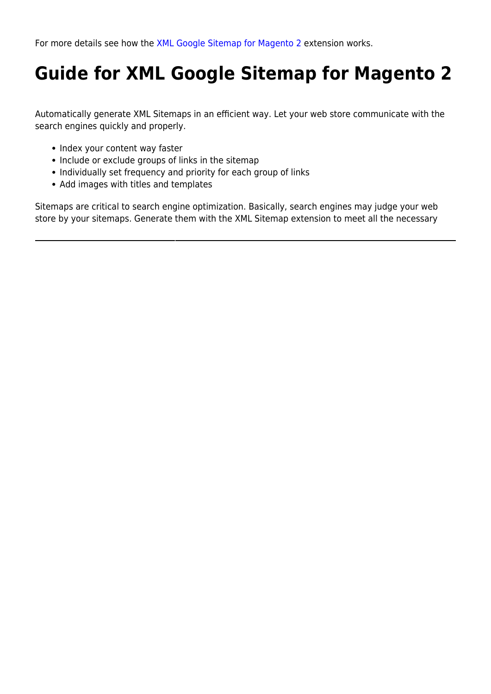For more details see how the [XML Google Sitemap for Magento 2](https://xml-google-sitemap-m2.magento-demo.amasty.com/admin/admin/system_config/edit/section/amxmlsitemap/) extension works.

# **Guide for XML Google Sitemap for Magento 2**

Automatically generate XML Sitemaps in an efficient way. Let your web store communicate with the search engines quickly and properly.

- Index your content way faster
- Include or exclude groups of links in the sitemap
- Individually set frequency and priority for each group of links
- Add images with titles and templates

Sitemaps are critical to search engine optimization. Basically, search engines may judge your web store by your sitemaps. Generate them with the XML Sitemap extension to meet all the necessary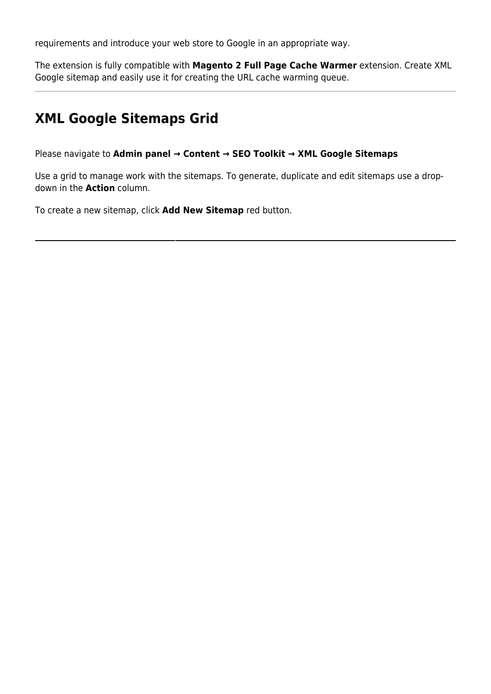requirements and introduce your web store to Google in an appropriate way.

The extension is fully compatible with **Magento 2 Full Page Cache Warmer** extension. Create XML Google sitemap and easily use it for creating the URL cache warming queue.

## **XML Google Sitemaps Grid**

Please navigate to **Admin panel → Content → SEO Toolkit → XML Google Sitemaps**

Use a grid to manage work with the sitemaps. To generate, duplicate and edit sitemaps use a dropdown in the **Action** column.

To create a new sitemap, click **Add New Sitemap** red button.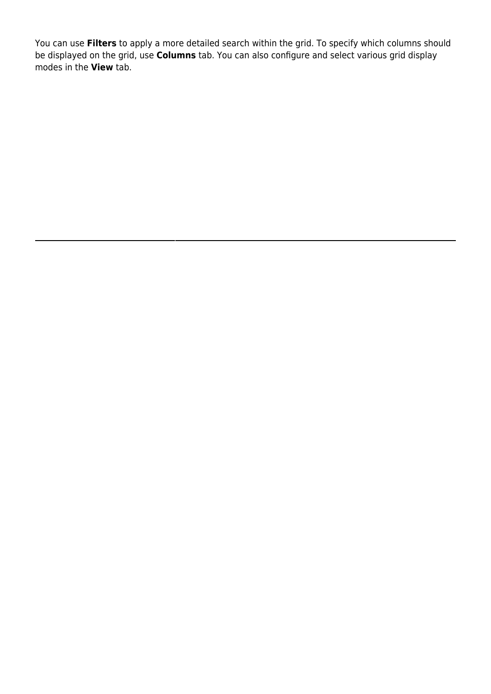You can use **Filters** to apply a more detailed search within the grid. To specify which columns should be displayed on the grid, use **Columns** tab. You can also configure and select various grid display modes in the **View** tab.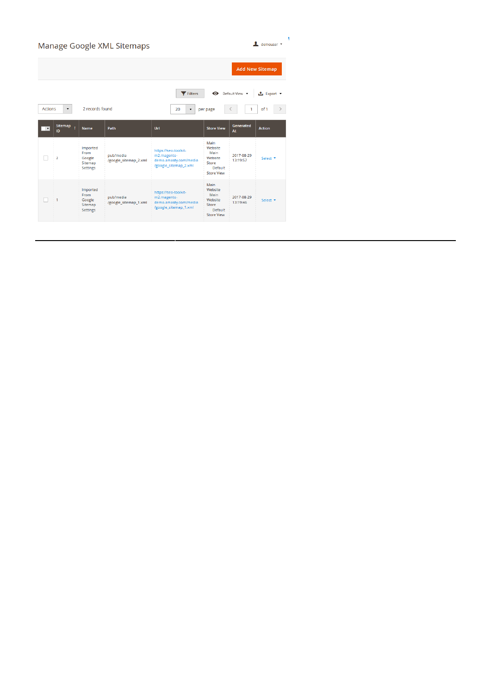| demouser *<br>Manage Google XML Sitemaps                                                                                                                          |                      |                                                                 |                                    |                                                                                       |                                                                                    |                        |                     |  |  |
|-------------------------------------------------------------------------------------------------------------------------------------------------------------------|----------------------|-----------------------------------------------------------------|------------------------------------|---------------------------------------------------------------------------------------|------------------------------------------------------------------------------------|------------------------|---------------------|--|--|
| <b>Add New Sitemap</b>                                                                                                                                            |                      |                                                                 |                                    |                                                                                       |                                                                                    |                        |                     |  |  |
| Filters<br>Default View v<br><b>上</b> Export ▼<br>2 records found<br><b>Actions</b><br>of 1<br>20<br>$\blacktriangledown$<br>per page<br>$\overline{\phantom{a}}$ |                      |                                                                 |                                    |                                                                                       |                                                                                    |                        |                     |  |  |
| $\overline{\phantom{a}}$                                                                                                                                          | <b>Sitemap</b><br>ID | <b>Name</b>                                                     | Path                               | Url                                                                                   | <b>Store View</b>                                                                  | Generated<br>At        | <b>Action</b>       |  |  |
|                                                                                                                                                                   | $\overline{2}$       | Imported<br>From<br>Google<br>Sitemap<br><b>Settings</b>        | pub/media<br>/google_sitemap_2.xml | https://seo-toolkit-<br>m2.magento-<br>demo.amasty.com/media<br>/google_sitemap_2.xml | Main<br>Website<br>Main<br>Website<br>Store<br><b>Default</b><br><b>Store View</b> | 2017-08-29<br>13:19:57 | Select <sup>*</sup> |  |  |
|                                                                                                                                                                   | 1                    | Imported<br><b>From</b><br>Google<br>Sitemap<br><b>Settings</b> | pub/media<br>/google_sitemap_1.xml | https://seo-toolkit-<br>m2.magento-<br>demo.amasty.com/media<br>/google_sitemap_1.xml | Main<br>Website<br>Main<br>Website<br>Store<br>Default<br><b>Store View</b>        | 2017-08-29<br>13:19:46 | Select <b>v</b>     |  |  |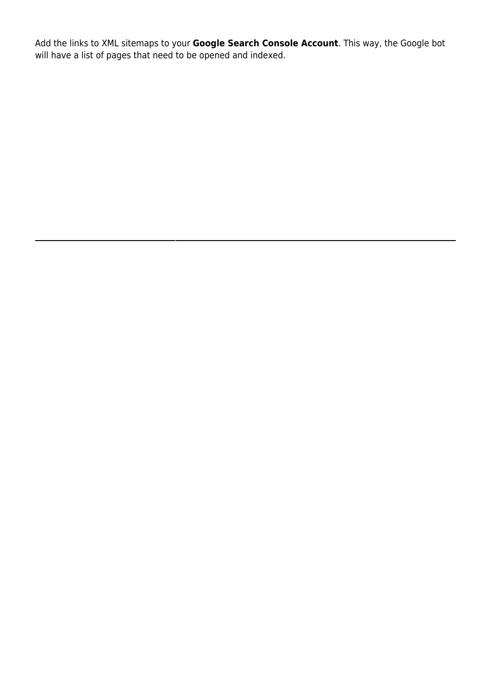Add the links to XML sitemaps to your **Google Search Console Account**. This way, the Google bot will have a list of pages that need to be opened and indexed.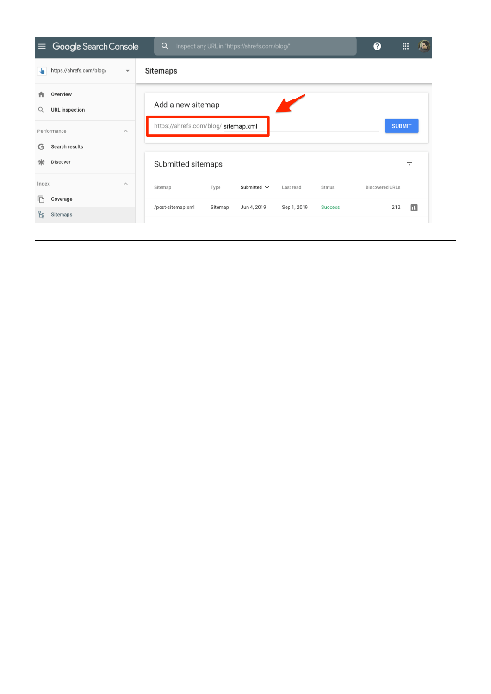| $\equiv$                            | Google Search Console                                           | Q<br>Inspect any URL in "https://ahrefs.com/blog/" |                    |         | ❷                | :::         | 紭              |                 |               |  |
|-------------------------------------|-----------------------------------------------------------------|----------------------------------------------------|--------------------|---------|------------------|-------------|----------------|-----------------|---------------|--|
|                                     | https://ahrefs.com/blog/<br>Sitemaps<br>$\overline{\mathbf{v}}$ |                                                    |                    |         |                  |             |                |                 |               |  |
|                                     | Overview<br><b>URL</b> inspection                               | Add a new sitemap                                  |                    |         |                  |             |                |                 |               |  |
| Performance<br>$\scriptstyle\wedge$ |                                                                 | https://ahrefs.com/blog/ sitemap.xml               |                    |         |                  |             | <b>SUBMIT</b>  |                 |               |  |
| G                                   | Search results                                                  |                                                    |                    |         |                  |             |                |                 |               |  |
| ⋇                                   | <b>Discover</b>                                                 |                                                    | Submitted sitemaps |         |                  |             |                |                 | Ξ             |  |
| Index                               |                                                                 | $\wedge$                                           | Sitemap            | Type    | Submitted $\psi$ | Last read   | <b>Status</b>  | Discovered URLs |               |  |
|                                     | Coverage                                                        |                                                    | /post-sitemap.xml  | Sitemap | Jun 4, 2019      | Sep 1, 2019 | <b>Success</b> |                 | $\Box$<br>212 |  |
| 먾                                   | Sitemaps                                                        |                                                    |                    |         |                  |             |                |                 |               |  |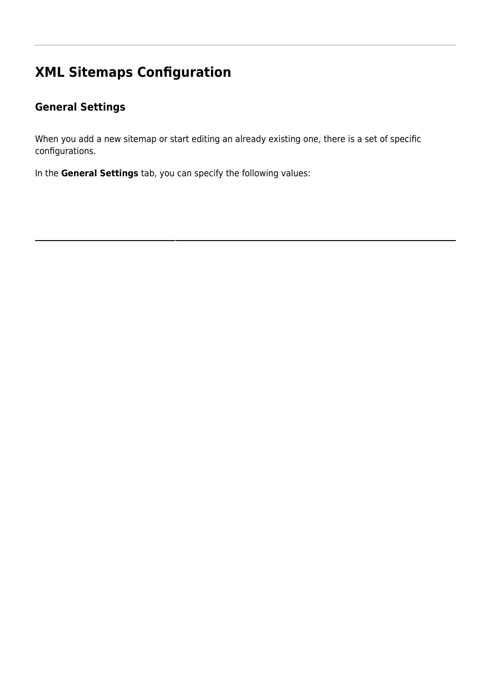## **XML Sitemaps Configuration**

### **General Settings**

When you add a new sitemap or start editing an already existing one, there is a set of specific configurations.

In the **General Settings** tab, you can specify the following values: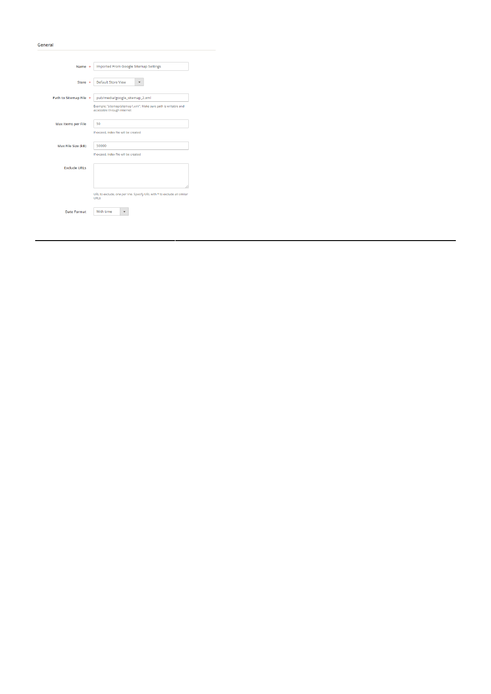| Name *                    | Imported From Google Sitemap Settings                                                          |
|---------------------------|------------------------------------------------------------------------------------------------|
|                           |                                                                                                |
| Store *                   | Default Store View                                                                             |
|                           |                                                                                                |
| Path to Sitemap File *    | pub/media/google_sitemap_2.xml                                                                 |
|                           | Example: "sitemap/sitemap1.xml". Make sure path is writable and<br>accessible through internet |
| <b>Max Items per File</b> | 50                                                                                             |
|                           | If exceed, index file will be created                                                          |
| Max File Size (kB)        | 50000                                                                                          |
|                           | If exceed, index file will be created                                                          |
| <b>Exclude URLs</b>       |                                                                                                |
|                           |                                                                                                |
|                           | URL to exclude, one per line. Specify URL with * to exclude all similar<br><b>URLs</b>         |
| <b>Date Format</b>        | With time                                                                                      |

#### General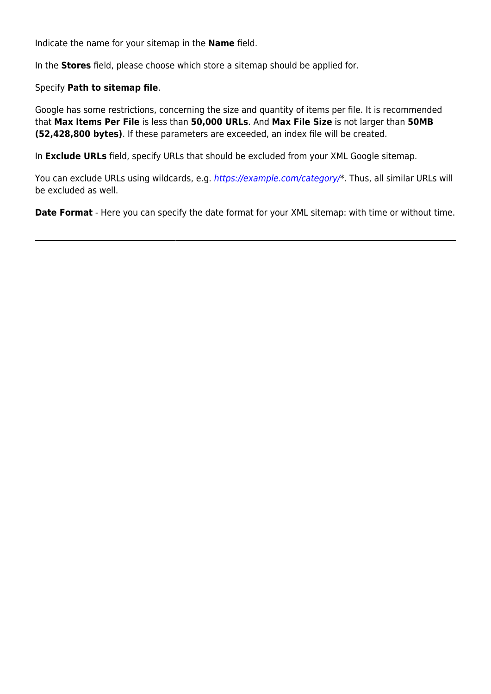Indicate the name for your sitemap in the **Name** field.

In the **Stores** field, please choose which store a sitemap should be applied for.

### Specify **Path to sitemap file**.

Google has some restrictions, concerning the size and quantity of items per file. It is recommended that **Max Items Per File** is less than **50,000 URLs**. And **Max File Size** is not larger than **50MB (52,428,800 bytes)**. If these parameters are exceeded, an index file will be created.

In **Exclude URLs** field, specify URLs that should be excluded from your XML Google sitemap.

You can exclude URLs using wildcards, e.g. [https://example.com/category/\\*](https://example.com/category/). Thus, all similar URLs will be excluded as well.

**Date Format** - Here you can specify the date format for your XML sitemap: with time or without time.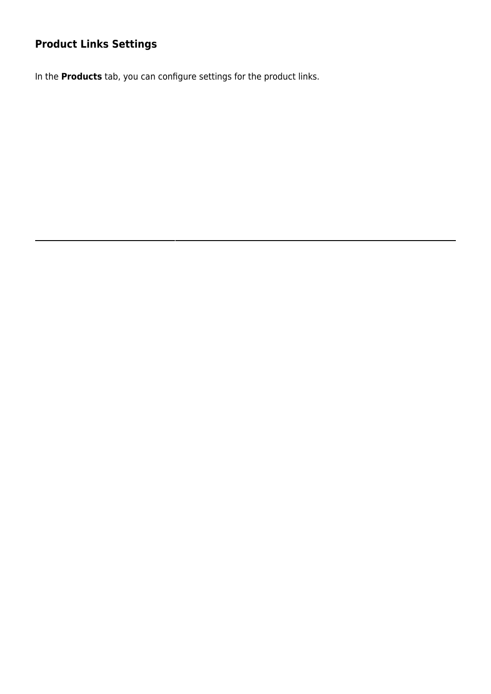### **Product Links Settings**

In the **Products** tab, you can configure settings for the product links.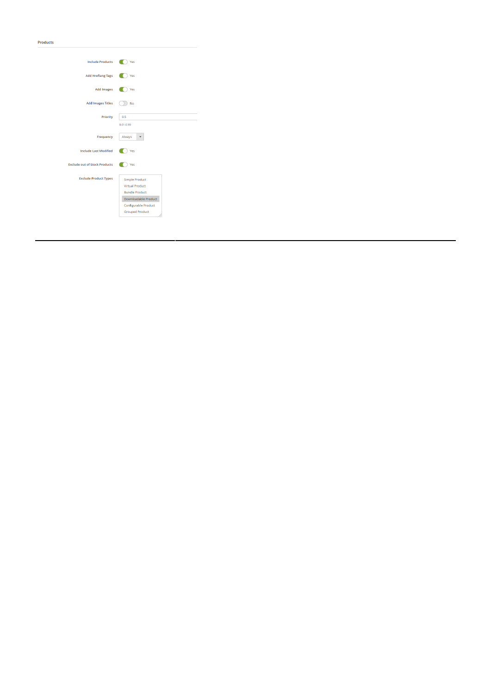Products

| Yes                                                                                                                                         |
|---------------------------------------------------------------------------------------------------------------------------------------------|
| Yes                                                                                                                                         |
| Yes                                                                                                                                         |
| No                                                                                                                                          |
| 0.5<br>$0.01 - 0.99$                                                                                                                        |
| Always                                                                                                                                      |
| Yes                                                                                                                                         |
| Yes                                                                                                                                         |
| <b>Simple Product</b><br>Virtual Product<br><b>Bundle Product</b><br>Downloadable Product<br>Configurable Product<br><b>Grouped Product</b> |
|                                                                                                                                             |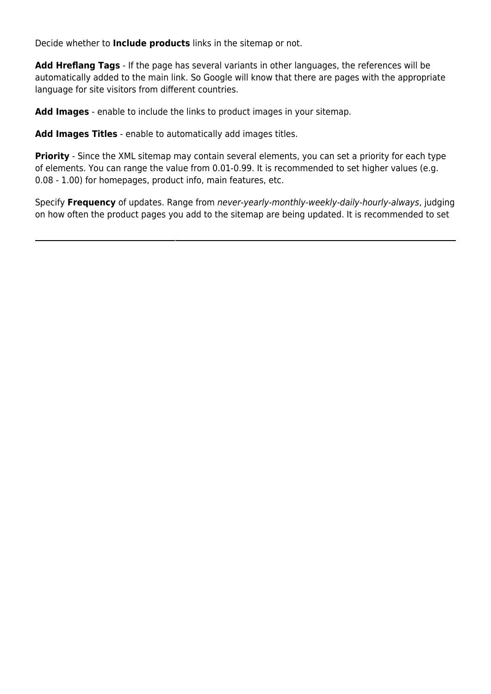Decide whether to **Include products** links in the sitemap or not.

**Add Hreflang Tags** - If the page has several variants in other languages, the references will be automatically added to the main link. So Google will know that there are pages with the appropriate language for site visitors from different countries.

**Add Images** - enable to include the links to product images in your sitemap.

**Add Images Titles** - enable to automatically add images titles.

**Priority** - Since the XML sitemap may contain several elements, you can set a priority for each type of elements. You can range the value from 0.01-0.99. It is recommended to set higher values (e.g. 0.08 - 1.00) for homepages, product info, main features, etc.

Specify **Frequency** of updates. Range from never-yearly-monthly-weekly-daily-hourly-always, judging on how often the product pages you add to the sitemap are being updated. It is recommended to set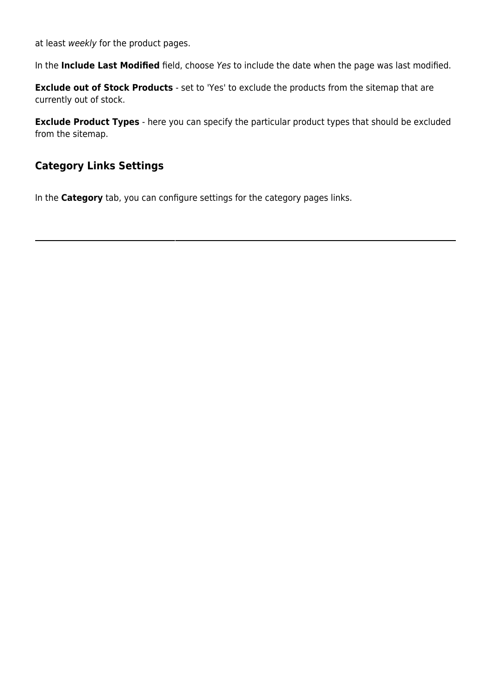at least weekly for the product pages.

In the **Include Last Modified** field, choose Yes to include the date when the page was last modified.

**Exclude out of Stock Products** - set to 'Yes' to exclude the products from the sitemap that are currently out of stock.

**Exclude Product Types** - here you can specify the particular product types that should be excluded from the sitemap.

### **Category Links Settings**

In the **Category** tab, you can configure settings for the category pages links.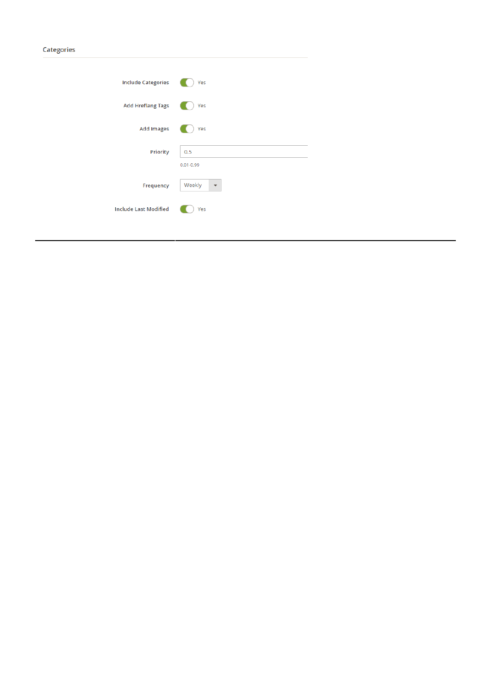| ı | ۱r |  |
|---|----|--|
|   |    |  |

| <b>Include Categories</b>    | Yes                  |
|------------------------------|----------------------|
| <b>Add Hreflang Tags</b>     | Yes                  |
| <b>Add Images</b>            | Yes                  |
| Priority                     | 0.5<br>$0.01 - 0.99$ |
| Frequency                    | Weekly               |
| <b>Include Last Modified</b> | Yes                  |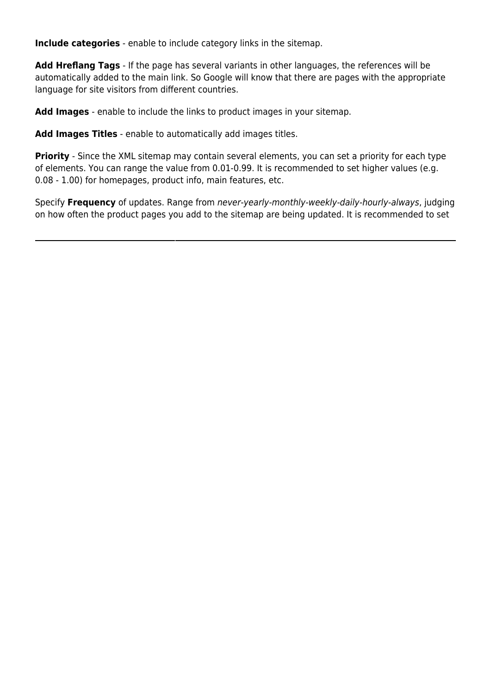**Include categories** - enable to include category links in the sitemap.

**Add Hreflang Tags** - If the page has several variants in other languages, the references will be automatically added to the main link. So Google will know that there are pages with the appropriate language for site visitors from different countries.

**Add Images** - enable to include the links to product images in your sitemap.

**Add Images Titles** - enable to automatically add images titles.

**Priority** - Since the XML sitemap may contain several elements, you can set a priority for each type of elements. You can range the value from 0.01-0.99. It is recommended to set higher values (e.g. 0.08 - 1.00) for homepages, product info, main features, etc.

Specify **Frequency** of updates. Range from never-yearly-monthly-weekly-daily-hourly-always, judging on how often the product pages you add to the sitemap are being updated. It is recommended to set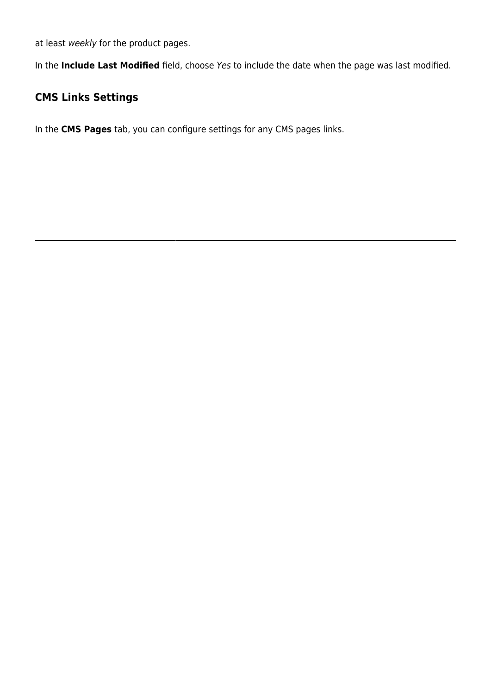at least weekly for the product pages.

In the **Include Last Modified** field, choose Yes to include the date when the page was last modified.

### **CMS Links Settings**

In the **CMS Pages** tab, you can configure settings for any CMS pages links.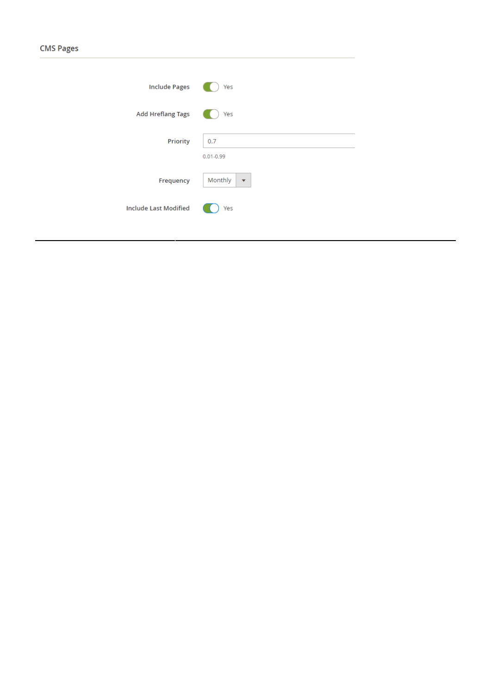| <b>Include Pages</b>         | Yes                                |
|------------------------------|------------------------------------|
| <b>Add Hreflang Tags</b>     | Yes                                |
| Priority                     | 0.7<br>$0.01 - 0.99$               |
| Frequency                    | Monthly<br>$\overline{\mathbf{v}}$ |
| <b>Include Last Modified</b> | Yes                                |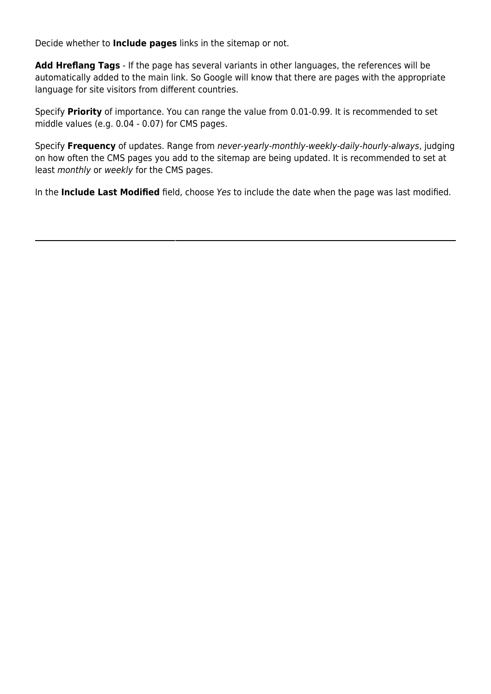Decide whether to **Include pages** links in the sitemap or not.

**Add Hreflang Tags** - If the page has several variants in other languages, the references will be automatically added to the main link. So Google will know that there are pages with the appropriate language for site visitors from different countries.

Specify **Priority** of importance. You can range the value from 0.01-0.99. It is recommended to set middle values (e.g. 0.04 - 0.07) for CMS pages.

Specify **Frequency** of updates. Range from never-yearly-monthly-weekly-daily-hourly-always, judging on how often the CMS pages you add to the sitemap are being updated. It is recommended to set at least monthly or weekly for the CMS pages.

In the **Include Last Modified** field, choose Yes to include the date when the page was last modified.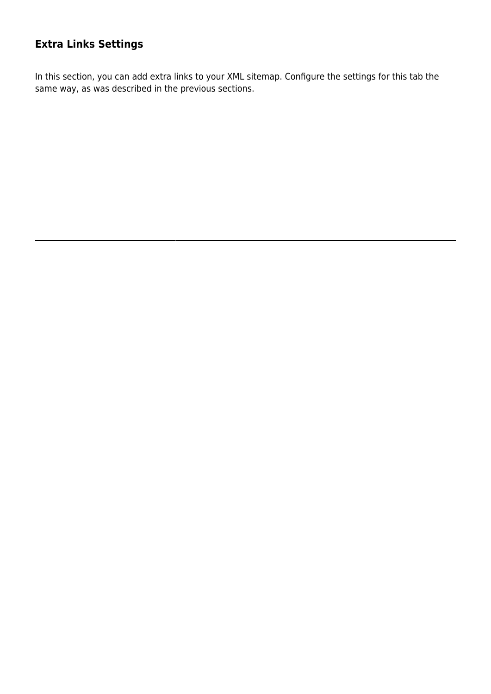### **Extra Links Settings**

In this section, you can add extra links to your XML sitemap. Configure the settings for this tab the same way, as was described in the previous sections.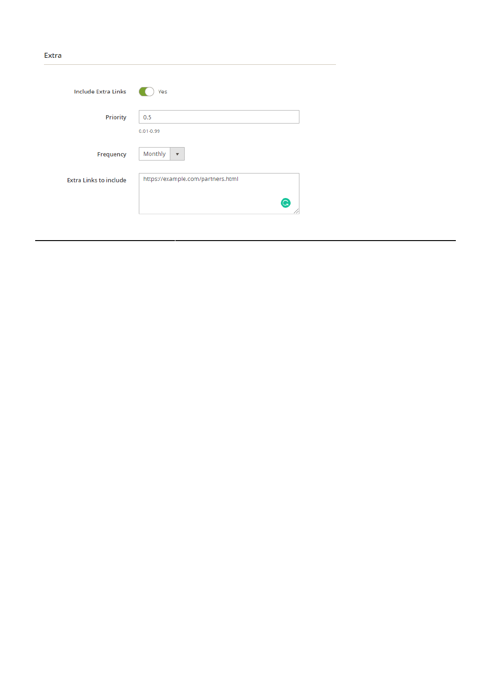#### Extra

| <b>Include Extra Links</b>    | Yes                                    |
|-------------------------------|----------------------------------------|
| Priority                      | 0.5<br>$0.01 - 0.99$                   |
| Frequency                     | Monthly<br>$\overline{\mathbf{v}}$     |
| <b>Extra Links to include</b> | https://example.com/partners.html<br>G |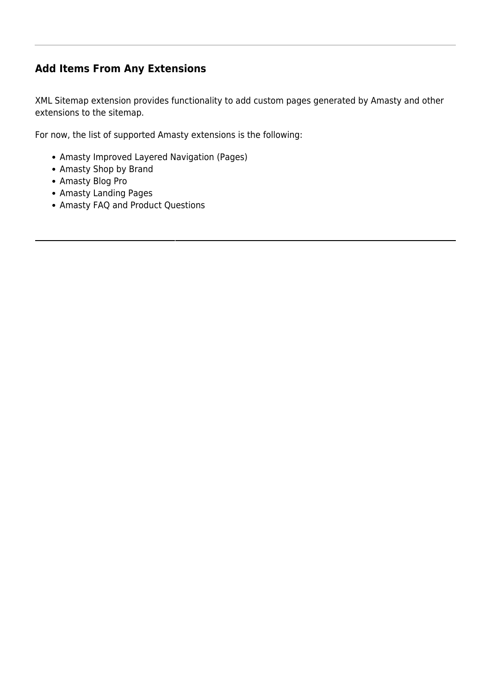### **Add Items From Any Extensions**

XML Sitemap extension provides functionality to add custom pages generated by Amasty and other extensions to the sitemap.

For now, the list of supported Amasty extensions is the following:

- Amasty Improved Layered Navigation (Pages)
- Amasty Shop by Brand
- Amasty Blog Pro
- Amasty Landing Pages
- Amasty FAQ and Product Questions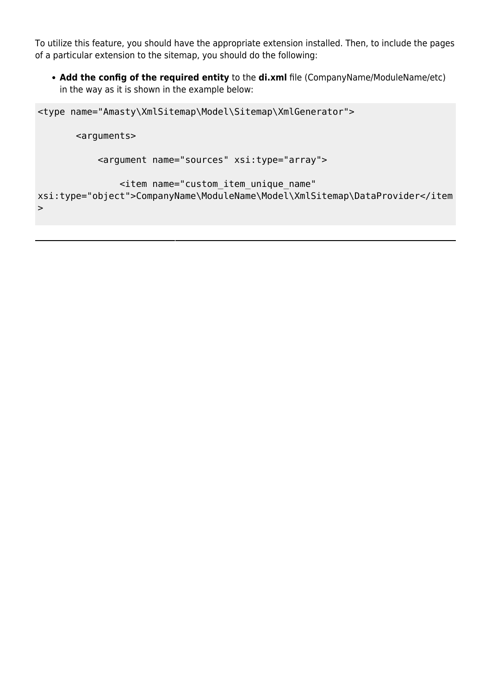To utilize this feature, you should have the appropriate extension installed. Then, to include the pages of a particular extension to the sitemap, you should do the following:

• Add the config of the required entity to the di.xml file (CompanyName/ModuleName/etc) in the way as it is shown in the example below:

```
<type name="Amasty\XmlSitemap\Model\Sitemap\XmlGenerator">
        <arguments>
            <argument name="sources" xsi:type="array">
                <item name="custom_item_unique_name"
xsi:type="object">CompanyName\ModuleName\Model\XmlSitemap\DataProvider</item
\geq
```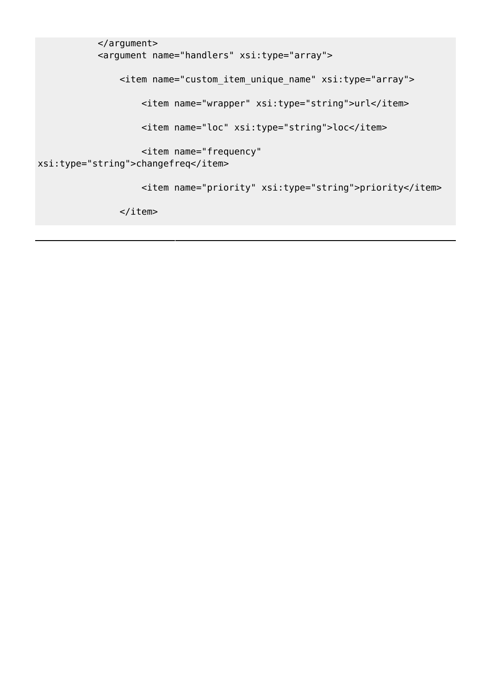```
 </argument>
            <argument name="handlers" xsi:type="array">
                <item name="custom_item_unique_name" xsi:type="array">
                   <item name="wrapper" xsi:type="string">url</item>
                    <item name="loc" xsi:type="string">loc</item>
                    <item name="frequency"
xsi:type="string">changefreq</item>
                    <item name="priority" xsi:type="string">priority</item>
               \langleitem>
```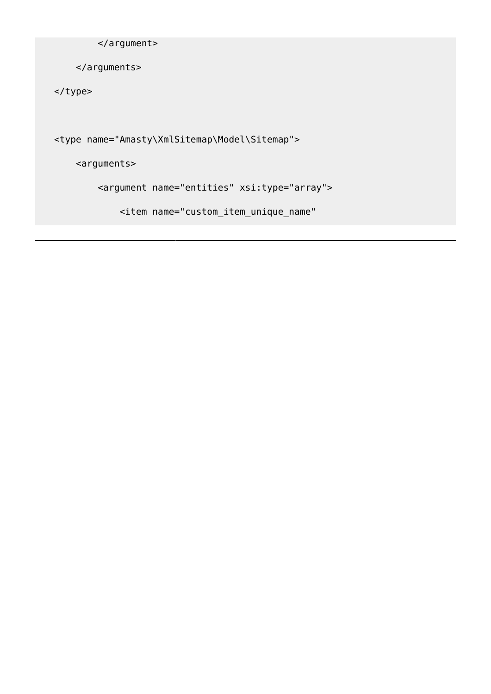```
 </argument>
```
</arguments>

</type>

<type name="Amasty\XmlSitemap\Model\Sitemap">

<arguments>

<argument name="entities" xsi:type="array">

<item name="custom\_item\_unique\_name"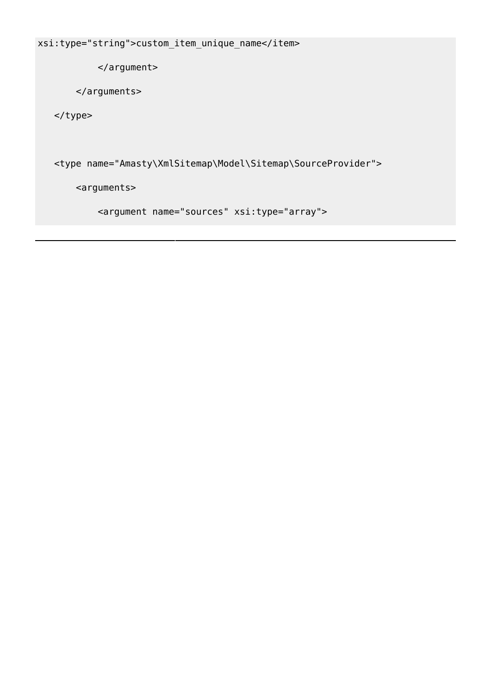```
xsi:type="string">custom_item_unique_name</item>
```
</argument>

</arguments>

</type>

<type name="Amasty\XmlSitemap\Model\Sitemap\SourceProvider">

<arguments>

<argument name="sources" xsi:type="array">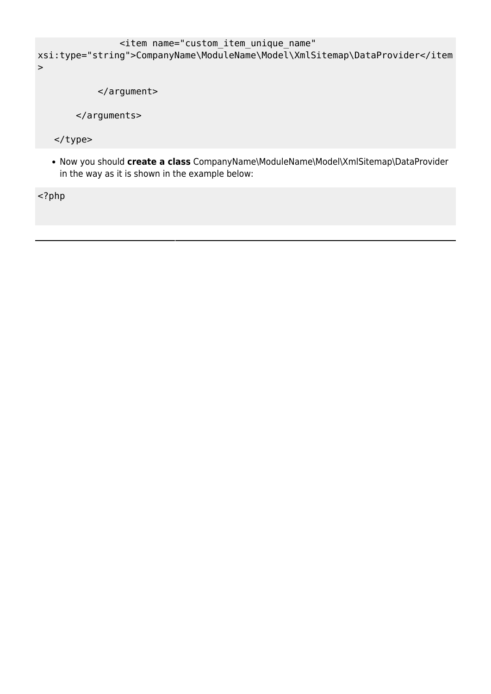```
 <item name="custom_item_unique_name"
xsi:type="string">CompanyName\ModuleName\Model\XmlSitemap\DataProvider</item
>
```
</argument>

</arguments>

</type>

Now you should **create a class** CompanyName\ModuleName\Model\XmlSitemap\DataProvider in the way as it is shown in the example below:

<?php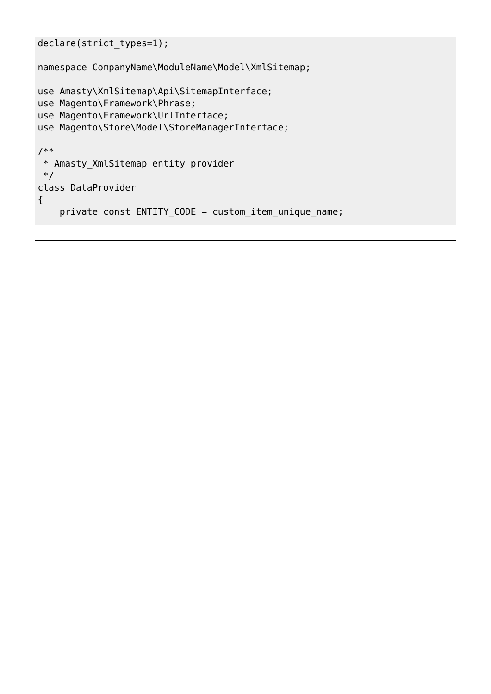```
declare(strict_types=1);
```
namespace CompanyName\ModuleName\Model\XmlSitemap;

```
use Amasty\XmlSitemap\Api\SitemapInterface;
use Magento\Framework\Phrase;
use Magento\Framework\UrlInterface;
use Magento\Store\Model\StoreManagerInterface;
/**
 * Amasty_XmlSitemap entity provider
 */
class DataProvider
{
    private const ENTITY_CODE = custom_item_unique_name;
```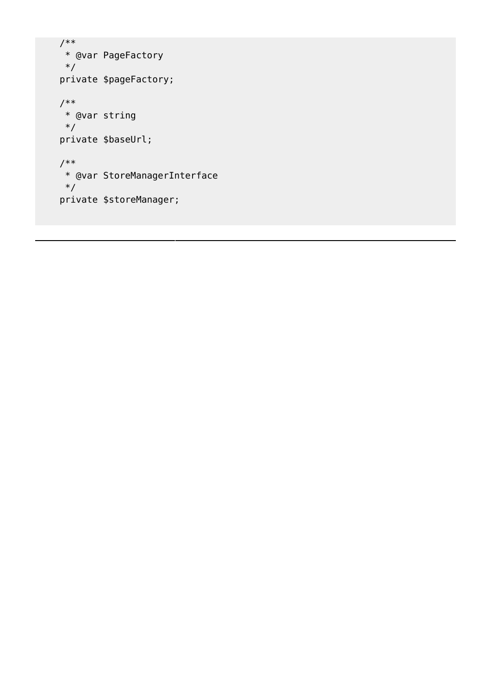```
 /**
 * @var PageFactory
 */
 private $pageFactory;
 /**
 * @var string
 */
 private $baseUrl;
 /**
 * @var StoreManagerInterface
 */
 private $storeManager;
```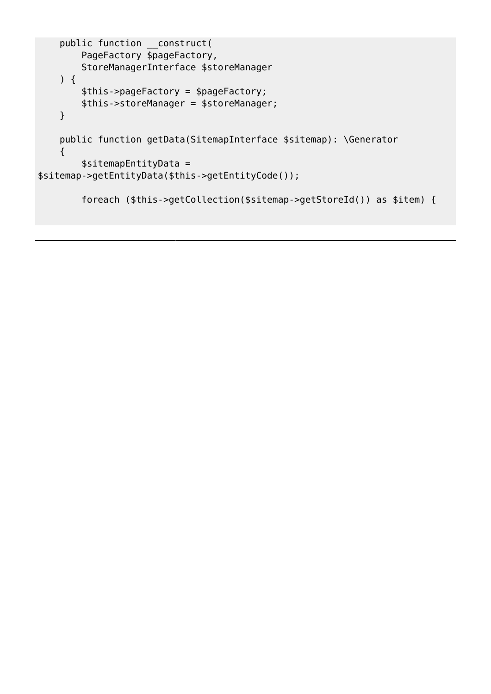```
 public function __construct(
         PageFactory $pageFactory,
         StoreManagerInterface $storeManager
     ) {
         $this->pageFactory = $pageFactory;
         $this->storeManager = $storeManager;
     }
     public function getData(SitemapInterface $sitemap): \Generator
     {
         $sitemapEntityData =
$sitemap->getEntityData($this->getEntityCode());
         foreach ($this->getCollection($sitemap->getStoreId()) as $item) {
```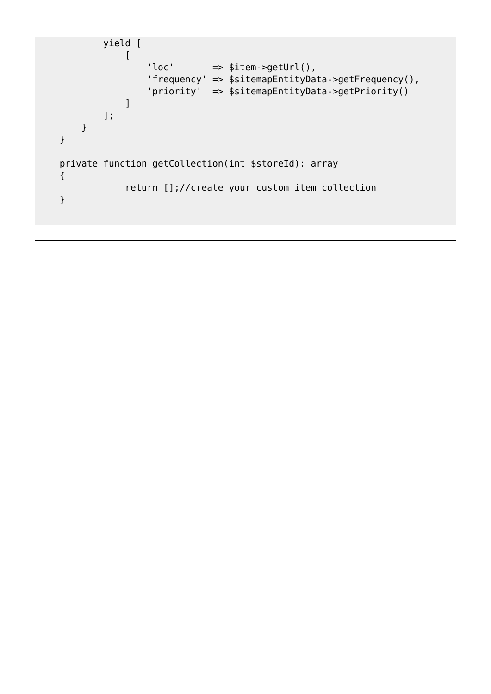```
 yield [
 [
                                  'loc' \Rightarrow $item->getUrl(),
                                   'frequency' => $sitemapEntityData->getFrequency(),
                                   'priority' => $sitemapEntityData->getPriority()
\sim 100 \sim 100 \sim 100 \sim 100 \sim 100 \sim 100 \sim 100 \sim 100 \sim 100 \sim 100 \sim 100 \sim 100 \sim 100 \sim 100 \sim 100 \sim 100 \sim 100 \sim 100 \sim 100 \sim 100 \sim 100 \sim 100 \sim 100 \sim 100 \sim 
                     ];
             }
       }
       private function getCollection(int $storeId): array
       {
                            return [];//create your custom item collection
       }
```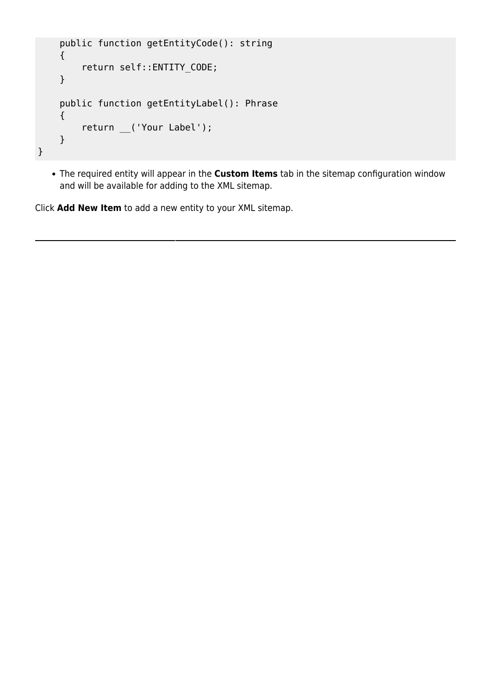```
 public function getEntityCode(): string
     {
         return self::ENTITY_CODE;
     }
     public function getEntityLabel(): Phrase
     {
         return __('Your Label');
     }
}
```
The required entity will appear in the **Custom Items** tab in the sitemap configuration window and will be available for adding to the XML sitemap.

Click **Add New Item** to add a new entity to your XML sitemap.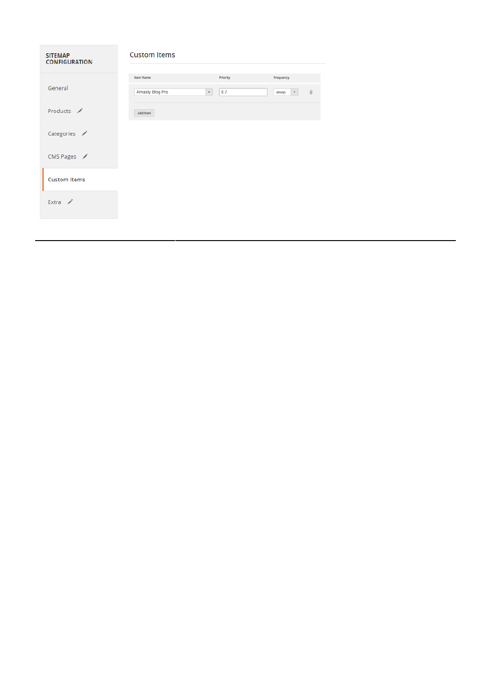| <b>SITEMAP</b><br><b>CONFIGURATION</b> | <b>Custom Items</b>             |          |                                            |  |  |  |
|----------------------------------------|---------------------------------|----------|--------------------------------------------|--|--|--|
|                                        | Item Name                       | Priority | Frequency                                  |  |  |  |
| General                                | Amasty Blog Pro<br>$\mathbf{v}$ | 0.7      | $\widehat{\mathbb{H}}$<br>$\tau$<br>always |  |  |  |
| Products /                             | Add Item                        |          |                                            |  |  |  |
| Categories /                           |                                 |          |                                            |  |  |  |
| CMS Pages                              |                                 |          |                                            |  |  |  |
| <b>Custom Items</b>                    |                                 |          |                                            |  |  |  |
| Extra /                                |                                 |          |                                            |  |  |  |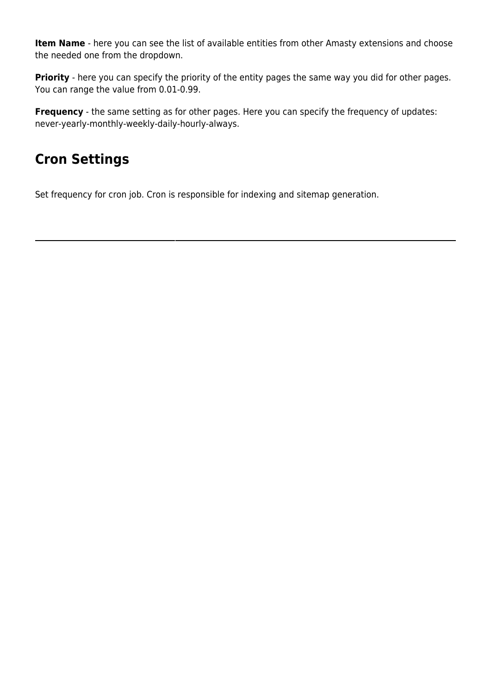**Item Name** - here you can see the list of available entities from other Amasty extensions and choose the needed one from the dropdown.

**Priority** - here you can specify the priority of the entity pages the same way you did for other pages. You can range the value from 0.01-0.99.

**Frequency** - the same setting as for other pages. Here you can specify the frequency of updates: never-yearly-monthly-weekly-daily-hourly-always.

## **Cron Settings**

Set frequency for cron job. Cron is responsible for indexing and sitemap generation.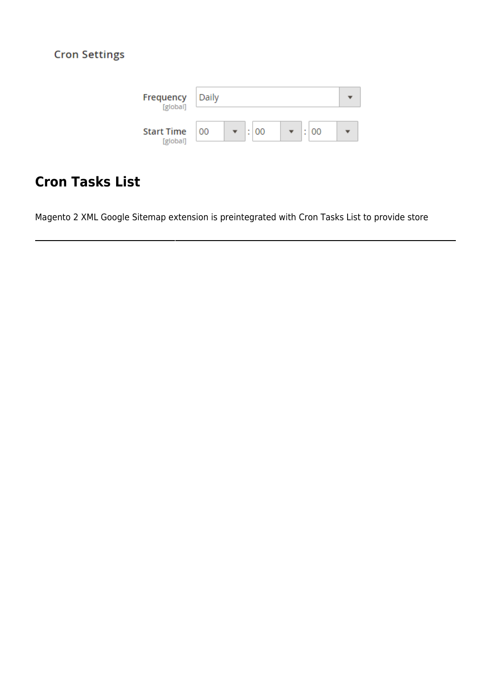### **Cron Settings**



## **Cron Tasks List**

Magento 2 XML Google Sitemap extension is preintegrated with Cron Tasks List to provide store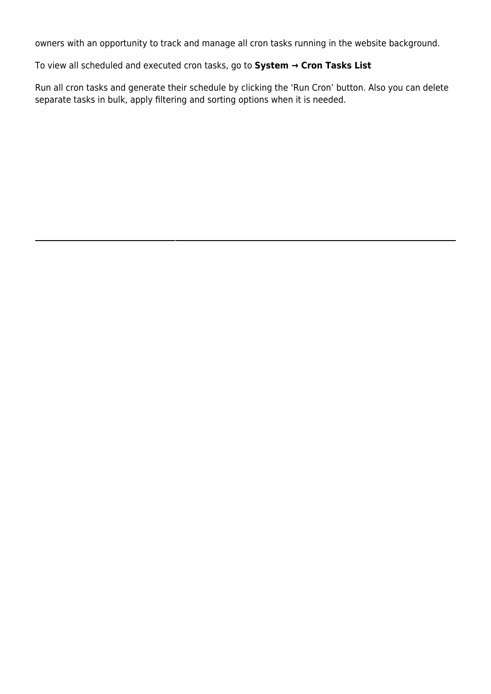owners with an opportunity to track and manage all cron tasks running in the website background.

To view all scheduled and executed cron tasks, go to **System → Cron Tasks List**

Run all cron tasks and generate their schedule by clicking the 'Run Cron' button. Also you can delete separate tasks in bulk, apply filtering and sorting options when it is needed.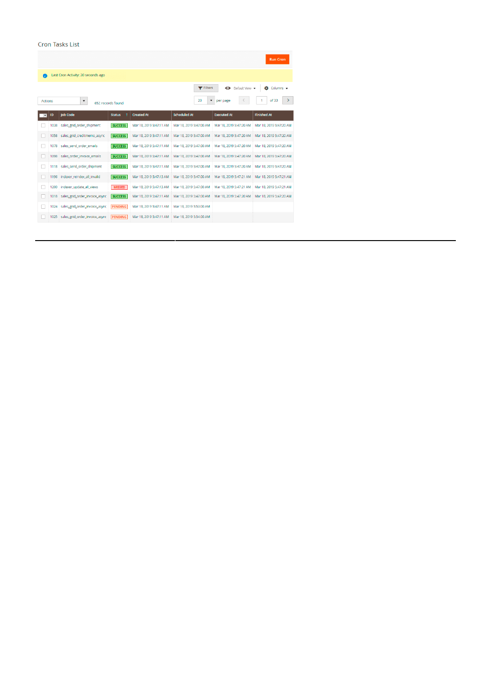#### Cron Tasks List

|                          |                                                                                                                |                                |                |                         |                         |                             | <b>Run Cron</b>         |  |  |
|--------------------------|----------------------------------------------------------------------------------------------------------------|--------------------------------|----------------|-------------------------|-------------------------|-----------------------------|-------------------------|--|--|
| A                        | Last Cron Activity: 20 seconds ago                                                                             |                                |                |                         |                         |                             |                         |  |  |
|                          |                                                                                                                |                                |                |                         | Filters                 | Default View •<br>$\bullet$ | Columns v<br>Õ.         |  |  |
|                          | of 33<br>20<br>$\blacktriangledown$<br>per page<br>$\blacktriangledown$<br><b>Actions</b><br>652 records found |                                |                |                         |                         |                             |                         |  |  |
| $\overline{\phantom{0}}$ | <b>ID</b>                                                                                                      | <b>Job Code</b>                | <b>Status</b>  | <b>Created At</b>       | <b>Scheduled At</b>     | <b>Executed At</b>          | <b>Finished At</b>      |  |  |
|                          | 1038                                                                                                           | sales grid order shipment      | <b>SUCCESS</b> | Mar 18, 2019 5:47:11 AM | Mar 18, 2019 5:47:00 AM | Mar 18, 2019 5:47:20 AM     | Mar 18, 2019 5:47:20 AM |  |  |
|                          | 1058                                                                                                           | sales_grid_creditmemo_async    | <b>SUCCESS</b> | Mar 18, 2019 5:47:11 AM | Mar 18, 2019 5:47:00 AM | Mar 18, 2019 5:47:20 AM     | Mar 18, 2019 5:47:20 AM |  |  |
|                          | 1078                                                                                                           | sales send order emails        | <b>SUCCESS</b> | Mar 18, 2019 5:47:11 AM | Mar 18, 2019 5:47:00 AM | Mar 18, 2019 5:47:20 AM     | Mar 18, 2019 5:47:20 AM |  |  |
|                          | 1098                                                                                                           | sales_order_invoice_emails     | <b>SUCCESS</b> | Mar 18, 2019 5:47:11 AM | Mar 18, 2019 5:47:00 AM | Mar 18, 2019 5:47:20 AM     | Mar 18, 2019 5:47:20 AM |  |  |
| п                        | 1118                                                                                                           | sales_send_order_shipment      | <b>SUCCESS</b> | Mar 18, 2019 5:47:11 AM | Mar 18, 2019 5:47:00 AM | Mar 18, 2019 5:47:20 AM     | Mar 18, 2019 5:47:20 AM |  |  |
|                          | 1196                                                                                                           | indexer_reindex_all_invalid    | <b>SUCCESS</b> | Mar 18, 2019 5:47:13 AM | Mar 18, 2019 5:47:00 AM | Mar 18, 2019 5:47:21 AM     | Mar 18, 2019 5:47:21 AM |  |  |
|                          | 1200                                                                                                           | indexer_update_all_views       | <b>MISSED</b>  | Mar 18, 2019 5:47:13 AM | Mar 18, 2019 5:47:00 AM | Mar 18, 2019 5:47:21 AM     | Mar 18, 2019 5:47:21 AM |  |  |
|                          | 1018                                                                                                           | sales_grid_order_invoice_async | <b>SUCCESS</b> | Mar 18, 2019 5:47:11 AM | Mar 18, 2019 5:47:00 AM | Mar 18, 2019 5:47:20 AM     | Mar 18, 2019 5:47:20 AM |  |  |
|                          | 1024                                                                                                           | sales grid order invoice async | <b>PENDING</b> | Mar 18, 2019 5:47:11 AM | Mar 18, 2019 5:53:00 AM |                             |                         |  |  |
|                          | 1025                                                                                                           | sales grid order invoice async | <b>PENDING</b> | Mar 18, 2019 5:47:11 AM | Mar 18, 2019 5:54:00 AM |                             |                         |  |  |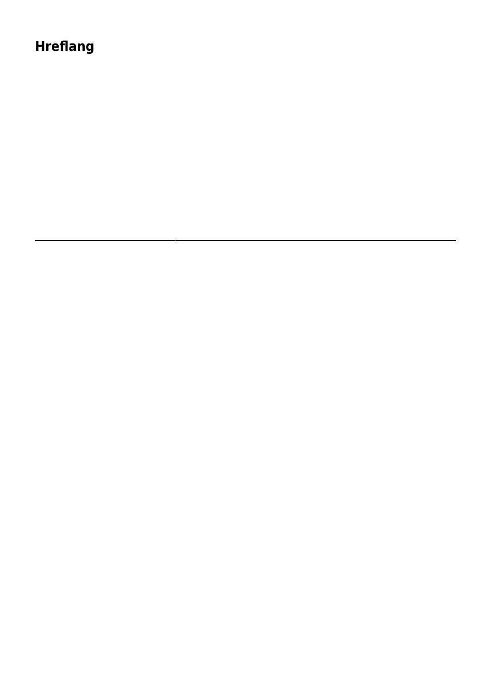## **Hreflang**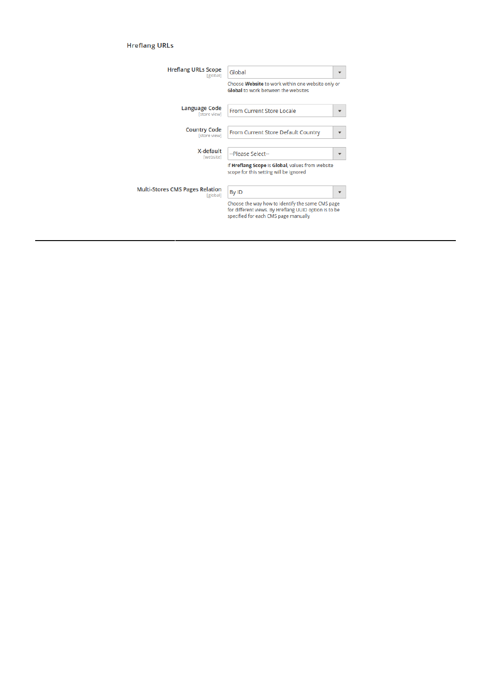#### **Hreflang URLs**

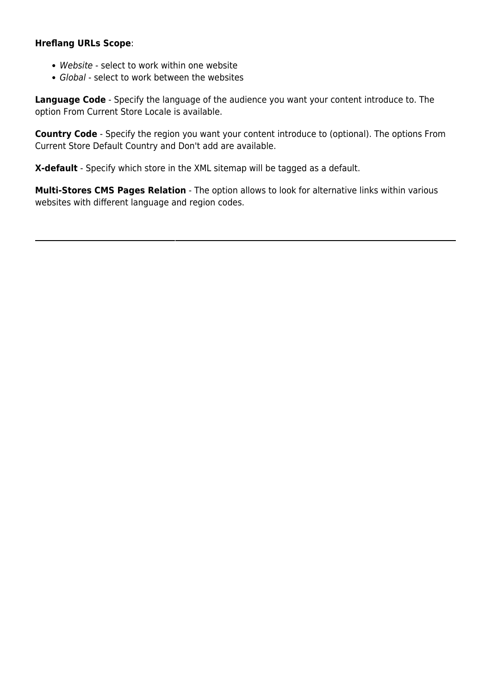#### **Hreflang URLs Scope**:

- Website select to work within one website
- Global select to work between the websites

**Language Code** - Specify the language of the audience you want your content introduce to. The option From Current Store Locale is available.

**Country Code** - Specify the region you want your content introduce to (optional). The options From Current Store Default Country and Don't add are available.

**X-default** - Specify which store in the XML sitemap will be tagged as a default.

**Multi-Stores CMS Pages Relation** - The option allows to look for alternative links within various websites with different language and region codes.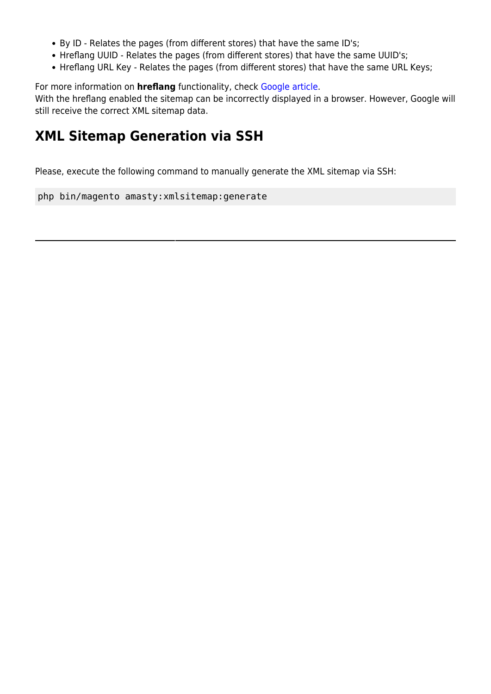- By ID Relates the pages (from different stores) that have the same ID's;
- Hreflang UUID Relates the pages (from different stores) that have the same UUID's;
- Hreflang URL Key Relates the pages (from different stores) that have the same URL Keys;

For more information on **hreflang** functionality, check [Google article.](https://support.google.com/webmasters/answer/189077?hl=en)

With the hreflang enabled the sitemap can be incorrectly displayed in a browser. However, Google will still receive the correct XML sitemap data.

### **XML Sitemap Generation via SSH**

Please, execute the following command to manually generate the XML sitemap via SSH:

php bin/magento amasty:xmlsitemap:generate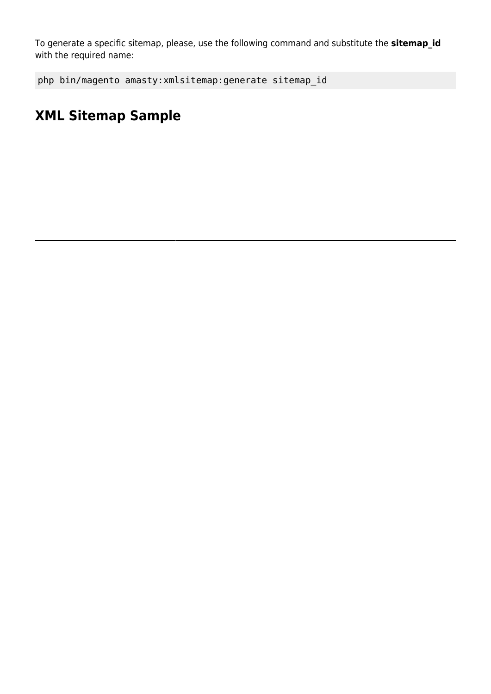To generate a specific sitemap, please, use the following command and substitute the **sitemap\_id** with the required name:

```
php bin/magento amasty:xmlsitemap:generate sitemap_id
```
## **XML Sitemap Sample**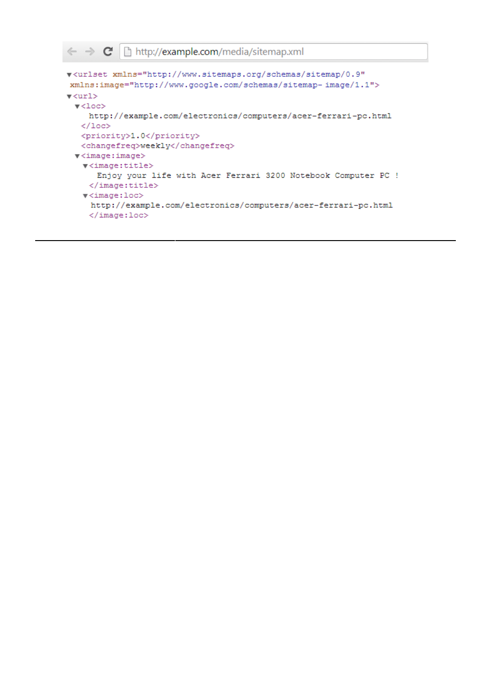```
\epsilon \rightarrow c Thttp://example.com/media/sitemap.xml
```

```
v<urlset xmlns="http://www.sitemaps.org/schemas/sitemap/0.9"
xmlns:image="http://www.google.com/schemas/sitemap-image/1.1">
\sqrt{x}\blacktriangledown<loc>
     http://example.com/electronics/computers/acer-ferrari-pc.html
   \langle /10c \rangle<priority>1.0</priority>
   <changefreq>weekly</changefreq>
 \blacktriangledown <image: image>
   \blacktriangledown<image:title>
       Enjoy your life with Acer Ferrari 3200 Notebook Computer PC !
     </image:title>
   \blacktriangledown<image:loc>
     http://example.com/electronics/computers/acer-ferrari-pc.html
     \langle/image:loc>
```
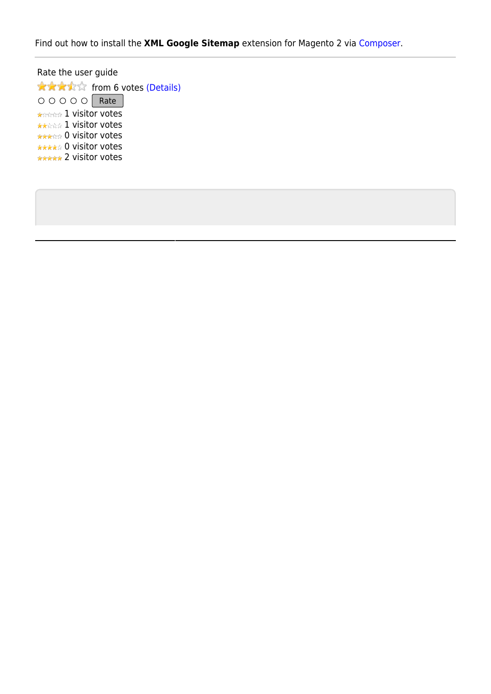Find out how to install the **XML Google Sitemap** extension for Magento 2 via [Composer.](https://amasty.com/docs/doku.php?id=magento_2:composer_user_guide)

Rate the user guide **★★★★☆** from 6 votes [\(Details\)](#rateanker_76734161a885f3bb56f0.92664087) OOOOO Rate \*\*\*\*\* 1 visitor votes \*\*\*\*\* 1 visitor votes \*\*\*\*\* 0 visitor votes \*\*\*\*\* 0 visitor votes \*\*\*\*\* 2 visitor votes